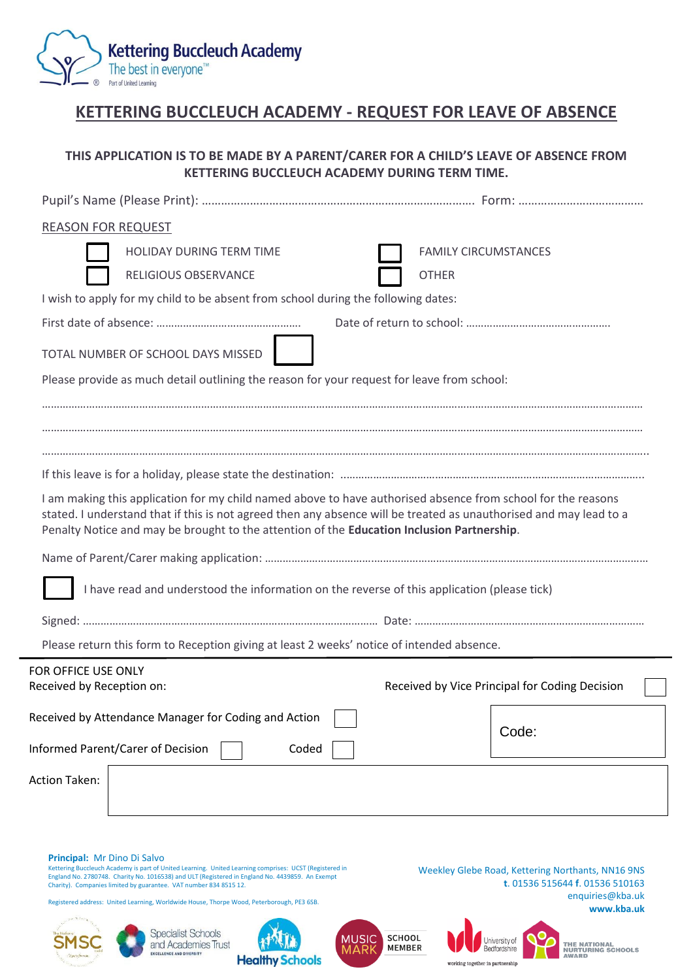

# **KETTERING BUCCLEUCH ACADEMY - REQUEST FOR LEAVE OF ABSENCE**

## **THIS APPLICATION IS TO BE MADE BY A PARENT/CARER FOR A CHILD'S LEAVE OF ABSENCE FROM KETTERING BUCCLEUCH ACADEMY DURING TERM TIME.**

| <b>REASON FOR REQUEST</b>                                                                                                                                                                                                                                                                                                                                                                                  |                                                                                                                                                                                              |
|------------------------------------------------------------------------------------------------------------------------------------------------------------------------------------------------------------------------------------------------------------------------------------------------------------------------------------------------------------------------------------------------------------|----------------------------------------------------------------------------------------------------------------------------------------------------------------------------------------------|
| HOLIDAY DURING TERM TIME                                                                                                                                                                                                                                                                                                                                                                                   | <b>FAMILY CIRCUMSTANCES</b>                                                                                                                                                                  |
| RELIGIOUS OBSERVANCE                                                                                                                                                                                                                                                                                                                                                                                       | <b>OTHER</b>                                                                                                                                                                                 |
| I wish to apply for my child to be absent from school during the following dates:                                                                                                                                                                                                                                                                                                                          |                                                                                                                                                                                              |
|                                                                                                                                                                                                                                                                                                                                                                                                            |                                                                                                                                                                                              |
| TOTAL NUMBER OF SCHOOL DAYS MISSED                                                                                                                                                                                                                                                                                                                                                                         |                                                                                                                                                                                              |
| Please provide as much detail outlining the reason for your request for leave from school:                                                                                                                                                                                                                                                                                                                 |                                                                                                                                                                                              |
|                                                                                                                                                                                                                                                                                                                                                                                                            |                                                                                                                                                                                              |
|                                                                                                                                                                                                                                                                                                                                                                                                            |                                                                                                                                                                                              |
|                                                                                                                                                                                                                                                                                                                                                                                                            |                                                                                                                                                                                              |
|                                                                                                                                                                                                                                                                                                                                                                                                            |                                                                                                                                                                                              |
| I am making this application for my child named above to have authorised absence from school for the reasons<br>stated. I understand that if this is not agreed then any absence will be treated as unauthorised and may lead to a<br>Penalty Notice and may be brought to the attention of the Education Inclusion Partnership.                                                                           |                                                                                                                                                                                              |
|                                                                                                                                                                                                                                                                                                                                                                                                            |                                                                                                                                                                                              |
| I have read and understood the information on the reverse of this application (please tick)                                                                                                                                                                                                                                                                                                                |                                                                                                                                                                                              |
|                                                                                                                                                                                                                                                                                                                                                                                                            |                                                                                                                                                                                              |
| Please return this form to Reception giving at least 2 weeks' notice of intended absence.                                                                                                                                                                                                                                                                                                                  |                                                                                                                                                                                              |
| FOR OFFICE USE ONLY<br>Received by Reception on:                                                                                                                                                                                                                                                                                                                                                           | Received by Vice Principal for Coding Decision                                                                                                                                               |
|                                                                                                                                                                                                                                                                                                                                                                                                            |                                                                                                                                                                                              |
| Received by Attendance Manager for Coding and Action                                                                                                                                                                                                                                                                                                                                                       | Code:                                                                                                                                                                                        |
| <b>Informed Parent/Carer of Decision</b><br>Coded                                                                                                                                                                                                                                                                                                                                                          |                                                                                                                                                                                              |
| Action Taken:                                                                                                                                                                                                                                                                                                                                                                                              |                                                                                                                                                                                              |
|                                                                                                                                                                                                                                                                                                                                                                                                            |                                                                                                                                                                                              |
| Principal: Mr Dino Di Salvo<br>Kettering Buccleuch Academy is part of United Learning. United Learning comprises: UCST (Registered in<br>England No. 2780748. Charity No. 1016538) and ULT (Registered in England No. 4439859. An Exempt<br>Charity). Companies limited by guarantee. VAT number 834 8515 12.<br>Registered address: United Learning, Worldwide House, Thorpe Wood, Peterborough, PE3 6SB. | Weekley Glebe Road, Kettering Northants, NN16 9NS<br>t. 01536 515644 f. 01536 510163<br>enquiries@kba.uk                                                                                     |
|                                                                                                                                                                                                                                                                                                                                                                                                            | www.kba.uk                                                                                                                                                                                   |
| <b>Specialist Schools</b><br>and Academies Trust<br><b>EXCELLENCE AND DIVERSIT</b><br><b>Healthy Schools</b>                                                                                                                                                                                                                                                                                               | <b>SCHOOL</b><br><b>MUSIC</b><br>Jniversity of<br><b>THE NATIONAL</b><br><b>MEMBER</b><br>MAR<br>Bedfordshire<br><b>NURTURING SCHOOLS</b><br><b>AWARD</b><br>working together in partnership |